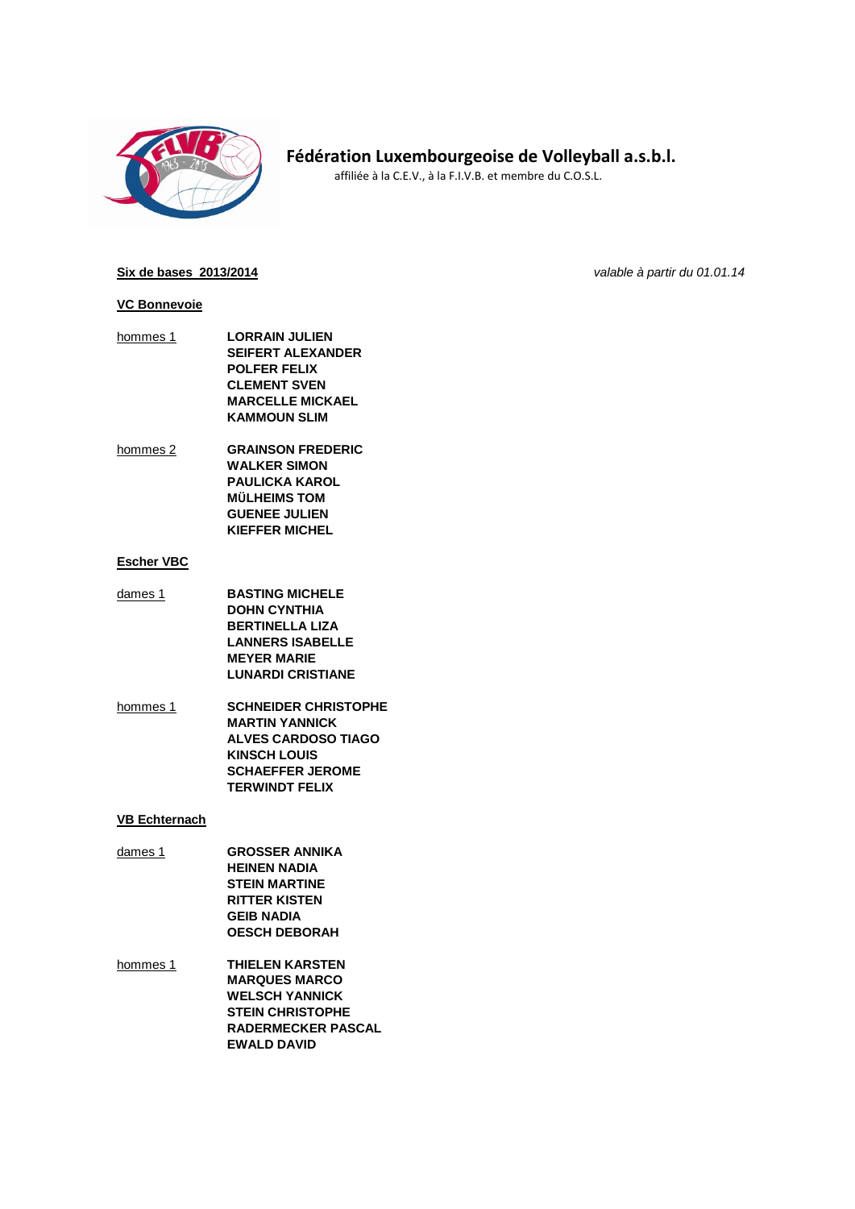

# **Fédération Luxembourgeoise de Volleyball a.s.b.l.**

affiliée à la C.E.V., à la F.I.V.B. et membre du C.O.S.L.

#### **Six de bases 2013/2014** *valable à partir du 01.01.14*

#### **VC Bonnevoie**

- hommes 1 **LORRAIN JULIEN SEIFERT ALEXANDER POLFER FELIX CLEMENT SVEN MARCELLE MICKAEL KAMMOUN SLIM**
- hommes 2 **GRAINSON FREDERIC WALKER SIMON PAULICKA KAROL MÜLHEIMS TOM GUENEE JULIEN KIEFFER MICHEL**

## **Escher VBC**

- dames 1 **BASTING MICHELE DOHN CYNTHIA BERTINELLA LIZA LANNERS ISABELLE MEYER MARIE LUNARDI CRISTIANE**
- hommes 1 **SCHNEIDER CHRISTOPHE MARTIN YANNICK ALVES CARDOSO TIAGO KINSCH LOUIS SCHAEFFER JEROME TERWINDT FELIX**

## **VB Echternach**

- dames 1 **GROSSER ANNIKA HEINEN NADIA STEIN MARTINE RITTER KISTEN GEIB NADIA OESCH DEBORAH**
- hommes 1 **THIELEN KARSTEN MARQUES MARCO WELSCH YANNICK STEIN CHRISTOPHE RADERMECKER PASCAL EWALD DAVID**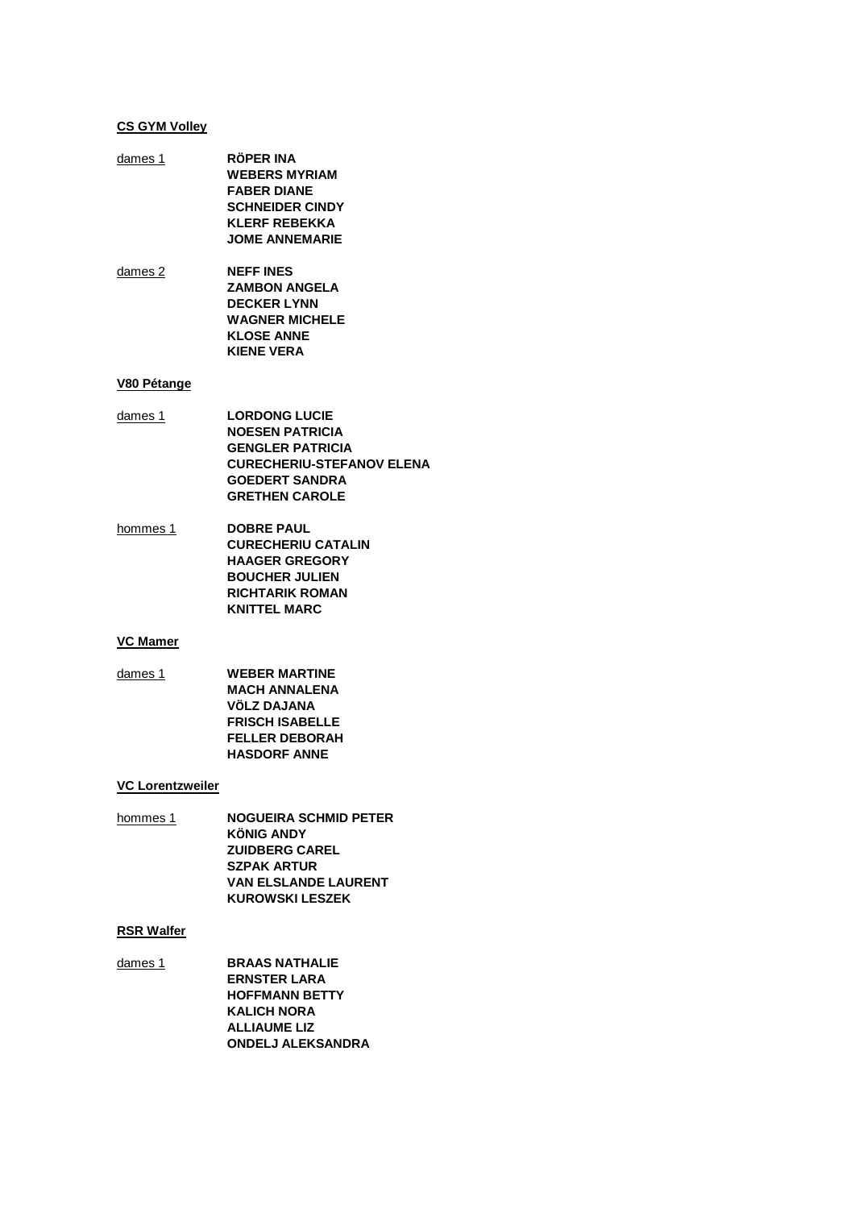## **CS GYM Volley**

**RÖPER INA** dames 1 **WEBERS MYRIAM FABER DIANE SCHNEIDER CINDY KLERF REBEKKA JOME ANNEMARIE NEFF INES** dames 2 **ZAMBON ANGELA DECKER LYNN WAGNER MICHELE KLOSE ANNE** 

## V80 Pétange

**LORDONG LUCIE** dames  $1$ **NOESEN PATRICIA GENGLER PATRICIA CURECHERIU-STEFANOV ELENA GOEDERT SANDRA GRETHEN CAROLE** 

**KIENE VERA** 

hommes 1 **DOBRE PAUL CURECHERIU CATALIN HAAGER GREGORY BOUCHER JULIEN RICHTARIK ROMAN KNITTEL MARC** 

#### **VC Mamer**

dames  $1$ **WEBER MARTINE MACH ANNALENA VÖLZ DAJANA FRISCH ISABELLE FELLER DEBORAH HASDORF ANNE** 

## **VC Lorentzweiler**

| hommes 1 | <b>NOGUEIRA SCHMID PETER</b> |
|----------|------------------------------|
|          | <b>KÖNIG ANDY</b>            |
|          | <b>ZUIDBERG CAREL</b>        |
|          | <b>SZPAK ARTUR</b>           |
|          | <b>VAN ELSLANDE LAURENT</b>  |
|          | <b>KUROWSKI LESZEK</b>       |

#### **RSR Walfer**

dames 1 **BRAAS NATHALIE ERNSTER LARA HOFFMANN BETTY KALICH NORA ALLIAUME LIZ ONDELJ ALEKSANDRA**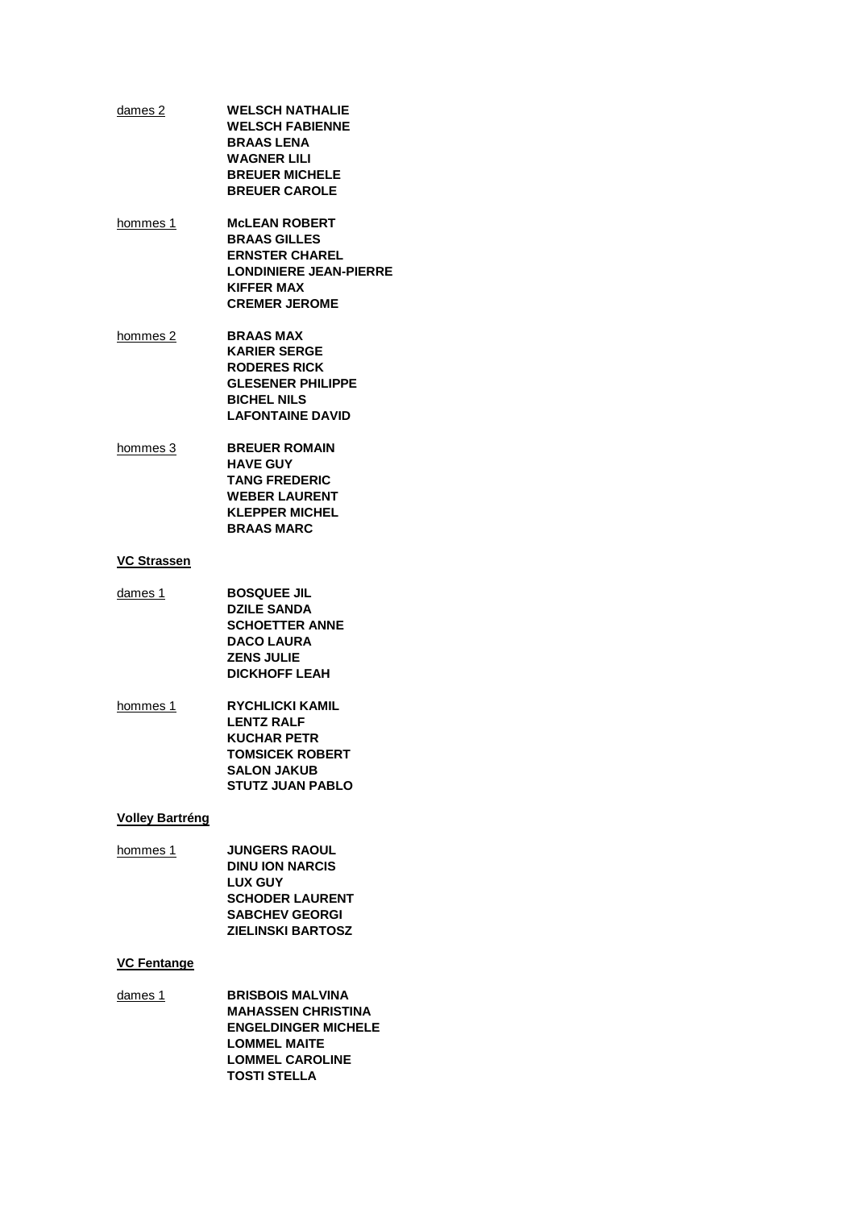- **WELSCH NATHALIE** dames 2 **WELSCH FABIENNE BRAAS LENA WAGNER LILI BREUER MICHELE BREUER CAROLE**
- hommes 1 **MCLEAN ROBERT BRAAS GILLES ERNSTER CHAREL LONDINIERE JEAN-PIERRE KIFFER MAX CREMER JEROME**
- **BRAAS MAX** hommes 2 **KARIER SERGE RODERES RICK GLESENER PHILIPPE BICHEL NILS LAFONTAINE DAVID**
- **BREUER ROMAIN** hommes 3 **HAVE GUY TANG FREDERIC WEBER LAURENT KLEPPER MICHEL BRAAS MARC**

## **VC Strassen**

- dames  $1$ **BOSQUEE JIL DZILE SANDA SCHOETTER ANNE DACO LAURA ZENS JULIE DICKHOFF LEAH**
- **RYCHLICKI KAMIL** hommes 1 **LENTZ RALF KUCHAR PETR TOMSICEK ROBERT SALON JAKUB STUTZ JUAN PABLO**

#### **Volley Bartréng**

hommes 1 **JUNGERS RAOUL DINU ION NARCIS LUX GUY SCHODER LAURENT SABCHEV GEORGI ZIELINSKI BARTOSZ** 

## **VC Fentange**

 $d$ ames  $1$ **BRISBOIS MALVINA MAHASSEN CHRISTINA ENGELDINGER MICHELE LOMMEL MAITE LOMMEL CAROLINE TOSTI STELLA**